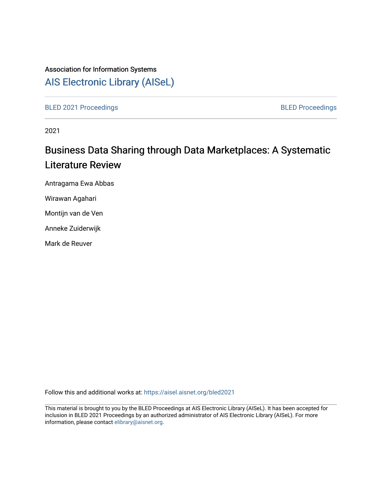## Association for Information Systems

# [AIS Electronic Library \(AISeL\)](https://aisel.aisnet.org/)

[BLED 2021 Proceedings](https://aisel.aisnet.org/bled2021) **BLED Proceedings** 

2021

# Business Data Sharing through Data Marketplaces: A Systematic Literature Review

Antragama Ewa Abbas

Wirawan Agahari

Montijn van de Ven

Anneke Zuiderwijk

Mark de Reuver

Follow this and additional works at: [https://aisel.aisnet.org/bled2021](https://aisel.aisnet.org/bled2021?utm_source=aisel.aisnet.org%2Fbled2021%2F13&utm_medium=PDF&utm_campaign=PDFCoverPages) 

This material is brought to you by the BLED Proceedings at AIS Electronic Library (AISeL). It has been accepted for inclusion in BLED 2021 Proceedings by an authorized administrator of AIS Electronic Library (AISeL). For more information, please contact [elibrary@aisnet.org.](mailto:elibrary@aisnet.org%3E)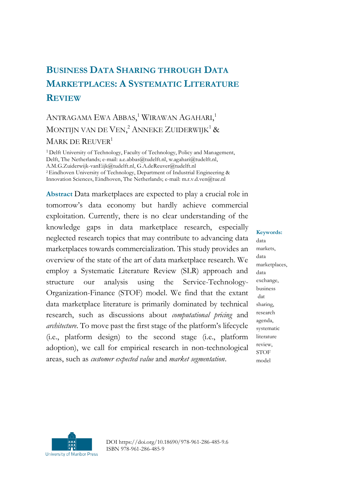## **BUSINESS DATA SHARING THROUGH DATA MARKETPLACES: A SYSTEMATIC LITERATURE REVIEW**

### ANTRAGAMA EWA ABBAS,<sup>1</sup> Wirawan Agahari,<sup>1</sup> MONTIJN VAN DE VEN, $^2$  ANNEKE ZUIDERWIJK $^1$  & MARK DE REUVER<sup>1</sup>

1 Delft University of Technology, Faculty of Technology, Policy and Management, Delft, The Netherlands; e-mail: a.e.abbas@tudelft.nl, w.agahari@tudelft.nl, A.M.G.Zuiderwijk-vanEijk@tudelft.nl, G.A.deReuver@tudelft.nl <sup>2</sup>Eindhoven University of Technology, Department of Industrial Engineering & Innovation Sciences, Eindhoven, The Netherlands; e-mail: m.r.v.d.ven@tue.nl

**Abstract** Data marketplaces are expected to play a crucial role in tomorrow's data economy but hardly achieve commercial exploitation. Currently, there is no clear understanding of the knowledge gaps in data marketplace research, especially neglected research topics that may contribute to advancing data marketplaces towards commercialization. This study provides an overview of the state of the art of data marketplace research. We employ a Systematic Literature Review (SLR) approach and structure our analysis using the Service-Technology-Organization-Finance (STOF) model. We find that the extant data marketplace literature is primarily dominated by technical research, such as discussions about *computational pricing* and *architecture*. To move past the first stage of the platform's lifecycle (i.e., platform design) to the second stage (i.e., platform adoption), we call for empirical research in non-technological areas, such as *customer expected value* and *market segmentation*.

**Keywords:** data markets, data marketplaces, data exchange, business dat sharing, research agenda, systematic literature review, **STOF** model



DOI https://doi.org/10.18690/978-961-286-485-9.6 ISBN 978-961-286-485-9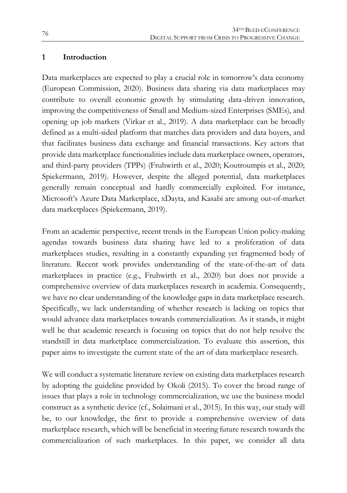#### **1 Introduction**

Data marketplaces are expected to play a crucial role in tomorrow's data economy (European Commission, 2020). Business data sharing via data marketplaces may contribute to overall economic growth by stimulating data-driven innovation, improving the competitiveness of Small and Medium-sized Enterprises (SMEs), and opening up job markets (Virkar et al., 2019). A data marketplace can be broadly defined as a multi-sided platform that matches data providers and data buyers, and that facilitates business data exchange and financial transactions. Key actors that provide data marketplace functionalities include data marketplace owners, operators, and third-party providers (TPPs) (Fruhwirth et al., 2020; Koutroumpis et al., 2020; Spiekermann, 2019). However, despite the alleged potential, data marketplaces generally remain conceptual and hardly commercially exploited. For instance, Microsoft's Azure Data Marketplace, xDayta, and Kasabi are among out-of-market data marketplaces (Spiekermann, 2019).

From an academic perspective, recent trends in the European Union policy-making agendas towards business data sharing have led to a proliferation of data marketplaces studies, resulting in a constantly expanding yet fragmented body of literature. Recent work provides understanding of the state-of-the-art of data marketplaces in practice (e.g., Fruhwirth et al., 2020) but does not provide a comprehensive overview of data marketplaces research in academia. Consequently, we have no clear understanding of the knowledge gaps in data marketplace research. Specifically, we lack understanding of whether research is lacking on topics that would advance data marketplaces towards commercialization. As it stands, it might well be that academic research is focusing on topics that do not help resolve the standstill in data marketplace commercialization. To evaluate this assertion, this paper aims to investigate the current state of the art of data marketplace research.

We will conduct a systematic literature review on existing data marketplaces research by adopting the guideline provided by Okoli (2015). To cover the broad range of issues that plays a role in technology commercialization, we use the business model construct as a synthetic device (cf., Solaimani et al., 2015). In this way, our study will be, to our knowledge, the first to provide a comprehensive overview of data marketplace research, which will be beneficial in steering future research towards the commercialization of such marketplaces. In this paper, we consider all data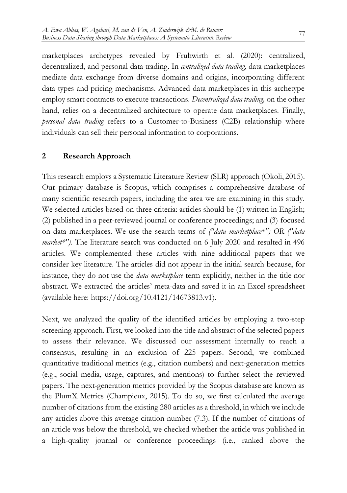marketplaces archetypes revealed by Fruhwirth et al. (2020): centralized, decentralized, and personal data trading. In *centralized data trading*, data marketplaces mediate data exchange from diverse domains and origins, incorporating different data types and pricing mechanisms. Advanced data marketplaces in this archetype employ smart contracts to execute transactions. *Decentralized data trading,* on the other hand, relies on a decentralized architecture to operate data marketplaces. Finally, *personal data trading* refers to a Customer-to-Business (C2B) relationship where individuals can sell their personal information to corporations.

#### **2 Research Approach**

This research employs a Systematic Literature Review (SLR) approach (Okoli, 2015). Our primary database is Scopus, which comprises a comprehensive database of many scientific research papers, including the area we are examining in this study. We selected articles based on three criteria: articles should be (1) written in English; (2) published in a peer-reviewed journal or conference proceedings; and (3) focused on data marketplaces. We use the search terms of *("data marketplace\*") OR ("data market\*").* The literature search was conducted on 6 July 2020 and resulted in 496 articles. We complemented these articles with nine additional papers that we consider key literature. The articles did not appear in the initial search because, for instance, they do not use the *data marketplace* term explicitly, neither in the title nor abstract. We extracted the articles' meta-data and saved it in an Excel spreadsheet (available here: https://doi.org/10.4121/14673813.v1).

Next, we analyzed the quality of the identified articles by employing a two-step screening approach. First, we looked into the title and abstract of the selected papers to assess their relevance. We discussed our assessment internally to reach a consensus, resulting in an exclusion of 225 papers. Second, we combined quantitative traditional metrics (e.g., citation numbers) and next-generation metrics (e.g., social media, usage, captures, and mentions) to further select the reviewed papers. The next-generation metrics provided by the Scopus database are known as the PlumX Metrics (Champieux, 2015). To do so, we first calculated the average number of citations from the existing 280 articles as a threshold, in which we include any articles above this average citation number (7.3). If the number of citations of an article was below the threshold, we checked whether the article was published in a high-quality journal or conference proceedings (i.e., ranked above the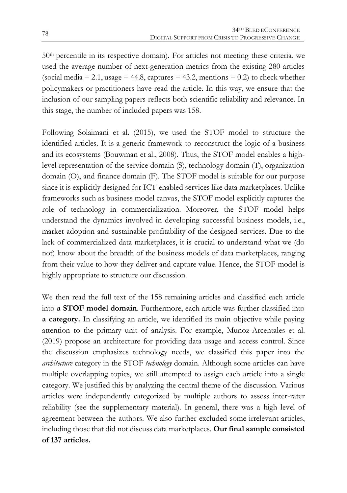$50<sup>th</sup>$  percentile in its respective domain). For articles not meeting these criteria, we used the average number of next-generation metrics from the existing 280 articles (social media  $= 2.1$ , usage  $= 44.8$ , captures  $= 43.2$ , mentions  $= 0.2$ ) to check whether policymakers or practitioners have read the article. In this way, we ensure that the inclusion of our sampling papers reflects both scientific reliability and relevance. In this stage, the number of included papers was 158.

Following Solaimani et al. (2015), we used the STOF model to structure the identified articles. It is a generic framework to reconstruct the logic of a business and its ecosystems (Bouwman et al., 2008). Thus, the STOF model enables a highlevel representation of the service domain (S), technology domain (T), organization domain (O), and finance domain (F). The STOF model is suitable for our purpose since it is explicitly designed for ICT-enabled services like data marketplaces. Unlike frameworks such as business model canvas, the STOF model explicitly captures the role of technology in commercialization. Moreover, the STOF model helps understand the dynamics involved in developing successful business models, i.e., market adoption and sustainable profitability of the designed services. Due to the lack of commercialized data marketplaces, it is crucial to understand what we (do not) know about the breadth of the business models of data marketplaces, ranging from their value to how they deliver and capture value. Hence, the STOF model is highly appropriate to structure our discussion.

We then read the full text of the 158 remaining articles and classified each article into **a STOF model domain**. Furthermore, each article was further classified into **a category.** In classifying an article, we identified its main objective while paying attention to the primary unit of analysis. For example, Munoz-Arcentales et al. (2019) propose an architecture for providing data usage and access control. Since the discussion emphasizes technology needs, we classified this paper into the *architecture* category in the STOF *technology* domain. Although some articles can have multiple overlapping topics, we still attempted to assign each article into a single category. We justified this by analyzing the central theme of the discussion. Various articles were independently categorized by multiple authors to assess inter-rater reliability (see the supplementary material). In general, there was a high level of agreement between the authors. We also further excluded some irrelevant articles, including those that did not discuss data marketplaces. **Our final sample consisted of 137 articles.**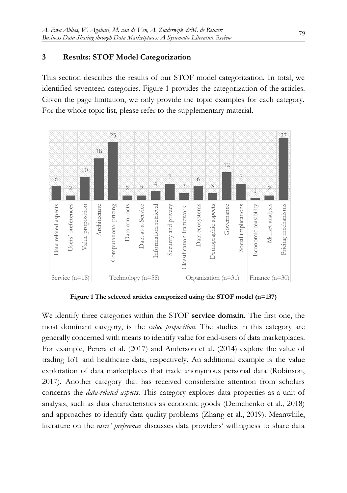#### **3 Results: STOF Model Categorization**

This section describes the results of our STOF model categorization. In total, we identified seventeen categories. Figure 1 provides the categorization of the articles. Given the page limitation, we only provide the topic examples for each category. For the whole topic list, please refer to the supplementary material.



**Figure 1 The selected articles categorized using the STOF model (n=137)**

We identify three categories within the STOF **service domain.** The first one, the most dominant category, is the *value proposition*. The studies in this category are generally concerned with means to identify value for end-users of data marketplaces. For example, Perera et al. (2017) and Anderson et al. (2014) explore the value of trading IoT and healthcare data, respectively. An additional example is the value exploration of data marketplaces that trade anonymous personal data (Robinson, 2017). Another category that has received considerable attention from scholars concerns the *data-related aspects*. This category explores data properties as a unit of analysis, such as data characteristics as economic goods (Demchenko et al., 2018) and approaches to identify data quality problems (Zhang et al., 2019). Meanwhile, literature on the *users' preferences* discusses data providers' willingness to share data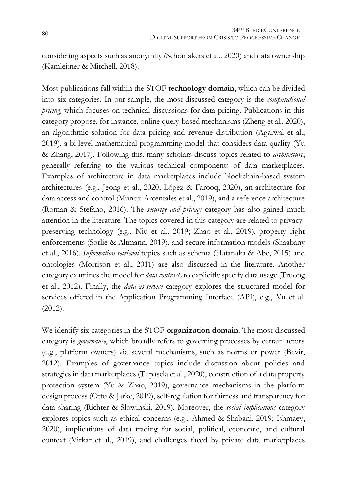considering aspects such as anonymity (Schomakers et al., 2020) and data ownership (Kamleitner & Mitchell, 2018).

Most publications fall within the STOF **technology domain**, which can be divided into six categories. In our sample, the most discussed category is the *computational pricing,* which focuses on technical discussions for data pricing. Publications in this category propose, for instance, online query-based mechanisms (Zheng et al., 2020), an algorithmic solution for data pricing and revenue distribution (Agarwal et al., 2019), a bi-level mathematical programming model that considers data quality (Yu & Zhang, 2017). Following this, many scholars discuss topics related to *architecture*, generally referring to the various technical components of data marketplaces. Examples of architecture in data marketplaces include blockchain-based system architectures (e.g., Jeong et al., 2020; López & Farooq, 2020), an architecture for data access and control (Munoz-Arcentales et al., 2019), and a reference architecture (Roman & Stefano, 2016). The *security and privacy* category has also gained much attention in the literature. The topics covered in this category are related to privacypreserving technology (e.g., Niu et al., 2019; Zhao et al., 2019), property right enforcements (Sørlie & Altmann, 2019), and secure information models (Shaabany et al., 2016). *Information retrieval* topics such as schema (Hatanaka & Abe, 2015) and ontologies (Morrison et al., 2011) are also discussed in the literature. Another category examines the model for *data contracts* to explicitly specify data usage (Truong et al., 2012). Finally, the *data-as-service* category explores the structured model for services offered in the Application Programming Interface (API), e.g., Vu et al. (2012).

We identify six categories in the STOF **organization domain**. The most-discussed category is *governance*, which broadly refers to governing processes by certain actors (e.g., platform owners) via several mechanisms, such as norms or power (Bevir, 2012). Examples of governance topics include discussion about policies and strategies in data marketplaces (Tupasela et al., 2020), construction of a data property protection system (Yu & Zhao, 2019), governance mechanisms in the platform design process (Otto & Jarke, 2019), self-regulation for fairness and transparency for data sharing (Richter & Slowinski, 2019). Moreover, the *social implications* category explores topics such as ethical concerns (e.g., Ahmed & Shabani, 2019; Ishmaev, 2020), implications of data trading for social, political, economic, and cultural context (Virkar et al., 2019), and challenges faced by private data marketplaces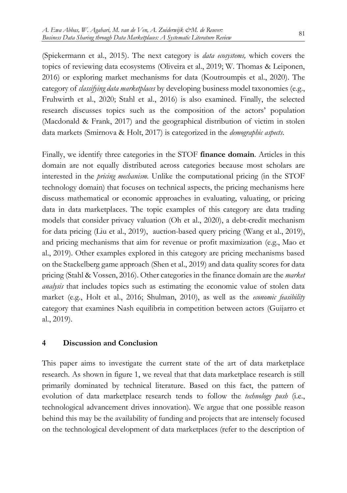(Spiekermann et al., 2015). The next category is *data ecosystems,* which covers the topics of reviewing data ecosystems (Oliveira et al., 2019; W. Thomas & Leiponen, 2016) or exploring market mechanisms for data (Koutroumpis et al., 2020). The category of *classifying data marketplaces* by developing business model taxonomies (e.g., Fruhwirth et al., 2020; Stahl et al., 2016) is also examined. Finally, the selected research discusses topics such as the composition of the actors' population (Macdonald & Frank, 2017) and the geographical distribution of victim in stolen data markets (Smirnova & Holt, 2017) is categorized in the *demographic aspects*.

Finally, we identify three categories in the STOF **finance domain**. Articles in this domain are not equally distributed across categories because most scholars are interested in the *pricing mechanism.* Unlike the computational pricing (in the STOF technology domain) that focuses on technical aspects, the pricing mechanisms here discuss mathematical or economic approaches in evaluating, valuating, or pricing data in data marketplaces. The topic examples of this category are data trading models that consider privacy valuation (Oh et al., 2020), a debt-credit mechanism for data pricing (Liu et al., 2019), auction-based query pricing (Wang et al., 2019), and pricing mechanisms that aim for revenue or profit maximization (e.g., Mao et al., 2019). Other examples explored in this category are pricing mechanisms based on the Stackelberg game approach (Shen et al., 2019) and data quality scores for data pricing (Stahl & Vossen, 2016). Other categories in the finance domain are the *market analysis* that includes topics such as estimating the economic value of stolen data market (e.g., Holt et al., 2016; Shulman, 2010), as well as the *economic feasibility* category that examines Nash equilibria in competition between actors (Guijarro et al., 2019).

#### **4 Discussion and Conclusion**

This paper aims to investigate the current state of the art of data marketplace research. As shown in figure 1, we reveal that that data marketplace research is still primarily dominated by technical literature. Based on this fact, the pattern of evolution of data marketplace research tends to follow the *technology push* (i.e., technological advancement drives innovation). We argue that one possible reason behind this may be the availability of funding and projects that are intensely focused on the technological development of data marketplaces (refer to the description of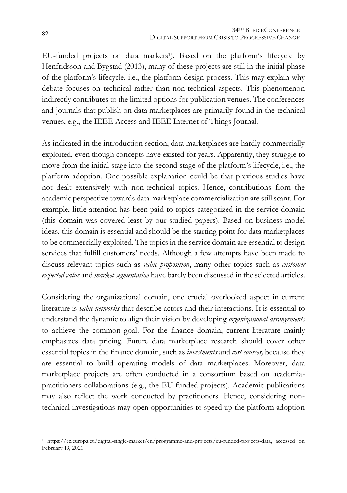EU-funded projects on data markets1). Based on the platform's lifecycle by Henfridsson and Bygstad (2013), many of these projects are still in the initial phase of the platform's lifecycle, i.e., the platform design process. This may explain why debate focuses on technical rather than non-technical aspects. This phenomenon indirectly contributes to the limited options for publication venues. The conferences and journals that publish on data marketplaces are primarily found in the technical venues, e.g., the IEEE Access and IEEE Internet of Things Journal.

As indicated in the introduction section, data marketplaces are hardly commercially exploited, even though concepts have existed for years. Apparently, they struggle to move from the initial stage into the second stage of the platform's lifecycle, i.e., the platform adoption. One possible explanation could be that previous studies have not dealt extensively with non-technical topics. Hence, contributions from the academic perspective towards data marketplace commercialization are still scant. For example, little attention has been paid to topics categorized in the service domain (this domain was covered least by our studied papers). Based on business model ideas, this domain is essential and should be the starting point for data marketplaces to be commercially exploited. The topics in the service domain are essential to design services that fulfill customers' needs. Although a few attempts have been made to discuss relevant topics such as *value proposition*, many other topics such as *customer expected value* and *market segmentation* have barely been discussed in the selected articles.

Considering the organizational domain, one crucial overlooked aspect in current literature is *value networks* that describe actors and their interactions. It is essential to understand the dynamic to align their vision by developing *organizational arrangements* to achieve the common goal. For the finance domain, current literature mainly emphasizes data pricing. Future data marketplace research should cover other essential topics in the finance domain, such as *investments* and *cost sources,* because they are essential to build operating models of data marketplaces. Moreover, data marketplace projects are often conducted in a consortium based on academiapractitioners collaborations (e.g., the EU-funded projects). Academic publications may also reflect the work conducted by practitioners. Hence, considering nontechnical investigations may open opportunities to speed up the platform adoption

 $\overline{a}$ <sup>1</sup> https://ec.europa.eu/digital-single-market/en/programme-and-projects/eu-funded-projects-data, accessed on February 19, 2021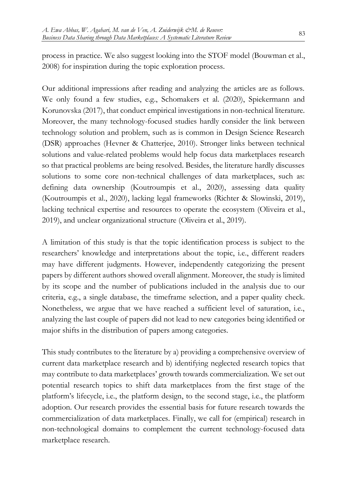process in practice. We also suggest looking into the STOF model (Bouwman et al., 2008) for inspiration during the topic exploration process.

Our additional impressions after reading and analyzing the articles are as follows. We only found a few studies, e.g., Schomakers et al. (2020), Spiekermann and Korunovska (2017), that conduct empirical investigations in non-technical literature. Moreover, the many technology-focused studies hardly consider the link between technology solution and problem, such as is common in Design Science Research (DSR) approaches (Hevner & Chatterjee, 2010). Stronger links between technical solutions and value-related problems would help focus data marketplaces research so that practical problems are being resolved. Besides, the literature hardly discusses solutions to some core non-technical challenges of data marketplaces, such as: defining data ownership (Koutroumpis et al., 2020), assessing data quality (Koutroumpis et al., 2020), lacking legal frameworks (Richter & Slowinski, 2019), lacking technical expertise and resources to operate the ecosystem (Oliveira et al., 2019), and unclear organizational structure (Oliveira et al., 2019).

A limitation of this study is that the topic identification process is subject to the researchers' knowledge and interpretations about the topic, i.e., different readers may have different judgments. However, independently categorizing the present papers by different authors showed overall alignment. Moreover, the study is limited by its scope and the number of publications included in the analysis due to our criteria, e.g., a single database, the timeframe selection, and a paper quality check. Nonetheless, we argue that we have reached a sufficient level of saturation, i.e., analyzing the last couple of papers did not lead to new categories being identified or major shifts in the distribution of papers among categories.

This study contributes to the literature by a) providing a comprehensive overview of current data marketplace research and b) identifying neglected research topics that may contribute to data marketplaces' growth towards commercialization. We set out potential research topics to shift data marketplaces from the first stage of the platform's lifecycle, i.e., the platform design, to the second stage, i.e., the platform adoption. Our research provides the essential basis for future research towards the commercialization of data marketplaces. Finally, we call for (empirical) research in non-technological domains to complement the current technology-focused data marketplace research.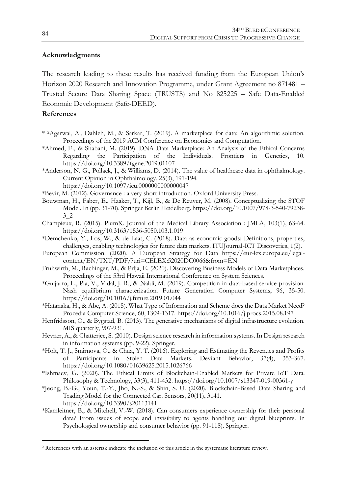#### **Acknowledgments**

The research leading to these results has received funding from the European Union's Horizon 2020 Research and Innovation Programme, under Grant Agreement no 871481 – Trusted Secure Data Sharing Space (TRUSTS) and No 825225 – Safe Data-Enabled Economic Development (Safe-DEED).

#### **References**

1

- \* 2Agarwal, A., Dahleh, M., & Sarkar, T. (2019). A marketplace for data: An algorithmic solution. Proceedings of the 2019 ACM Conference on Economics and Computation.
- \*Ahmed, E., & Shabani, M. (2019). DNA Data Marketplace: An Analysis of the Ethical Concerns Regarding the Participation of the Individuals. Frontiers in Genetics, 10. https://doi.org/10.3389/fgene.2019.01107
- \*Anderson, N. G., Pollack, J., & Williams, D. (2014). The value of healthcare data in ophthalmology. Current Opinion in Ophthalmology, 25(3), 191-194.
	- https://doi.org/10.1097/icu.0000000000000047
- \*Bevir, M. (2012). Governance : a very short introduction. Oxford University Press.
- Bouwman, H., Faber, E., Haaker, T., Kijl, B., & De Reuver, M. (2008). Conceptualizing the STOF Model. In (pp. 31-70). Springer Berlin Heidelberg. https://doi.org/10.1007/978-3-540-79238- 3\_2
- Champieux, R. (2015). PlumX. Journal of the Medical Library Association : JMLA, 103(1), 63-64. https://doi.org/10.3163/1536-5050.103.1.019
- \*Demchenko, Y., Los, W., & de Laat, C. (2018). Data as economic goods: Definitions, properties, challenges, enabling technologies for future data markets. ITUJournal-ICT Discoveries, 1(2).
- European Commission. (2020). A European Strategy for Data https://eur-lex.europa.eu/legalcontent/EN/TXT/PDF/?uri=CELEX:52020DC0066&from=EN
- Fruhwirth, M., Rachinger, M., & Prlja, E. (2020). Discovering Business Models of Data Marketplaces. Proceedings of the 53rd Hawaii International Conference on System Sciences.
- \*Guijarro, L., Pla, V., Vidal, J. R., & Naldi, M. (2019). Competition in data-based service provision: Nash equilibrium characterization. Future Generation Computer Systems, 96, 35-50. https://doi.org/10.1016/j.future.2019.01.044
- \*Hatanaka, H., & Abe, A. (2015). What Type of Information and Scheme does the Data Market Need? Procedia Computer Science, 60, 1309-1317. https://doi.org/10.1016/j.procs.2015.08.197
- Henfridsson, O., & Bygstad, B. (2013). The generative mechanisms of digital infrastructure evolution. MIS quarterly, 907-931.
- Hevner, A., & Chatterjee, S. (2010). Design science research in information systems. In Design research in information systems (pp. 9-22). Springer.
- \*Holt, T. J., Smirnova, O., & Chua, Y. T. (2016). Exploring and Estimating the Revenues and Profits of Participants in Stolen Data Markets. Deviant Behavior, 37(4), 353-367. https://doi.org/10.1080/01639625.2015.1026766
- \*Ishmaev, G. (2020). The Ethical Limits of Blockchain-Enabled Markets for Private IoT Data. Philosophy & Technology, 33(3), 411-432. https://doi.org/10.1007/s13347-019-00361-y
- \*Jeong, B.-G., Youn, T.-Y., Jho, N.-S., & Shin, S. U. (2020). Blockchain-Based Data Sharing and Trading Model for the Connected Car. Sensors, 20(11), 3141. https://doi.org/10.3390/s20113141
- \*Kamleitner, B., & Mitchell, V.-W. (2018). Can consumers experience ownership for their personal data? From issues of scope and invisibility to agents handling our digital blueprints. In Psychological ownership and consumer behavior (pp. 91-118). Springer.

<sup>2</sup> References with an asterisk indicate the inclusion of this article in the systematic literature review.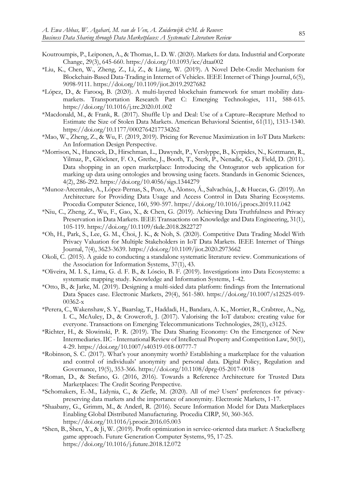- Koutroumpis, P., Leiponen, A., & Thomas, L. D. W. (2020). Markets for data. Industrial and Corporate Change, 29(3), 645-660. https://doi.org/10.1093/icc/dtaa002
- \*Liu, K., Chen, W., Zheng, Z., Li, Z., & Liang, W. (2019). A Novel Debt-Credit Mechanism for Blockchain-Based Data-Trading in Internet of Vehicles. IEEE Internet of Things Journal, 6(5), 9098-9111. https://doi.org/10.1109/jiot.2019.2927682
- \*López, D., & Farooq, B. (2020). A multi-layered blockchain framework for smart mobility datamarkets. Transportation Research Part C: Emerging Technologies, 111, 588-615. https://doi.org/10.1016/j.trc.2020.01.002
- \*Macdonald, M., & Frank, R. (2017). Shuffle Up and Deal: Use of a Capture–Recapture Method to Estimate the Size of Stolen Data Markets. American Behavioral Scientist, 61(11), 1313-1340. https://doi.org/10.1177/0002764217734262
- \*Mao, W., Zheng, Z., & Wu, F. (2019, 2019). Pricing for Revenue Maximization in IoT Data Markets: An Information Design Perspective.
- \*Morrison, N., Hancock, D., Hirschman, L., Dawyndt, P., Verslyppe, B., Kyrpides, N., Kottmann, R., Yilmaz, P., Glöckner, F. O., Grethe, J., Booth, T., Sterk, P., Nenadic, G., & Field, D. (2011). Data shopping in an open marketplace: Introducing the Ontogrator web application for marking up data using ontologies and browsing using facets. Standards in Genomic Sciences, 4(2), 286-292. https://doi.org/10.4056/sigs.1344279
- \*Munoz-Arcentales, A., López-Pernas, S., Pozo, A., Alonso, Á., Salvachúa, J., & Huecas, G. (2019). An Architecture for Providing Data Usage and Access Control in Data Sharing Ecosystems. Procedia Computer Science, 160, 590-597. https://doi.org/10.1016/j.procs.2019.11.042
- \*Niu, C., Zheng, Z., Wu, F., Gao, X., & Chen, G. (2019). Achieving Data Truthfulness and Privacy Preservation in Data Markets. IEEE Transactions on Knowledge and Data Engineering, 31(1), 105-119. https://doi.org/10.1109/tkde.2018.2822727
- \*Oh, H., Park, S., Lee, G. M., Choi, J. K., & Noh, S. (2020). Competitive Data Trading Model With Privacy Valuation for Multiple Stakeholders in IoT Data Markets. IEEE Internet of Things Journal, 7(4), 3623-3639. https://doi.org/10.1109/jiot.2020.2973662
- Okoli, C. (2015). A guide to conducting a standalone systematic literature review. Communications of the Association for Information Systems, 37(1), 43.
- \*Oliveira, M. I. S., Lima, G. d. F. B., & Lóscio, B. F. (2019). Investigations into Data Ecosystems: a systematic mapping study. Knowledge and Information Systems, 1-42.
- \*Otto, B., & Jarke, M. (2019). Designing a multi-sided data platform: findings from the International Data Spaces case. Electronic Markets, 29(4), 561-580. https://doi.org/10.1007/s12525-019- 00362-x
- \*Perera, C., Wakenshaw, S. Y., Baarslag, T., Haddadi, H., Bandara, A. K., Mortier, R., Crabtree, A., Ng, I. C., McAuley, D., & Crowcroft, J. (2017). Valorising the IoT databox: creating value for everyone. Transactions on Emerging Telecommunications Technologies, 28(1), e3125.
- \*Richter, H., & Slowinski, P. R. (2019). The Data Sharing Economy: On the Emergence of New Intermediaries. IIC - International Review of Intellectual Property and Competition Law, 50(1), 4-29. https://doi.org/10.1007/s40319-018-00777-7
- \*Robinson, S. C. (2017). What's your anonymity worth? Establishing a marketplace for the valuation and control of individuals' anonymity and personal data. Digital Policy, Regulation and Governance, 19(5), 353-366. https://doi.org/10.1108/dprg-05-2017-0018
- \*Roman, D., & Stefano, G. (2016, 2016). Towards a Reference Architecture for Trusted Data Marketplaces: The Credit Scoring Perspective.
- \*Schomakers, E.-M., Lidynia, C., & Ziefle, M. (2020). All of me? Users' preferences for privacypreserving data markets and the importance of anonymity. Electronic Markets, 1-17.
- \*Shaabany, G., Grimm, M., & Anderl, R. (2016). Secure Information Model for Data Marketplaces Enabling Global Distributed Manufacturing. Procedia CIRP, 50, 360-365. https://doi.org/10.1016/j.procir.2016.05.003
- \*Shen, B., Shen, Y., & Ji, W. (2019). Profit optimization in service-oriented data market: A Stackelberg game approach. Future Generation Computer Systems, 95, 17-25. https://doi.org/10.1016/j.future.2018.12.072